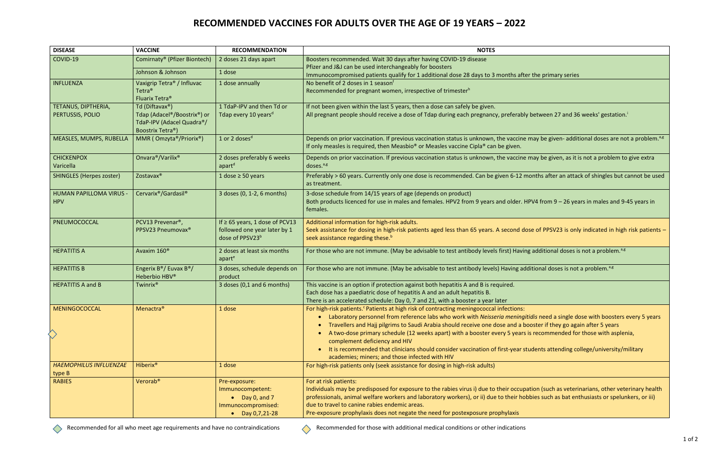## **RECOMMENDED VACCINES FOR ADULTS OVER THE AGE OF 19 YEARS – 2022**

| <b>DISEASE</b>                  | <b>VACCINE</b>                                               | <b>RECOMMENDATION</b>               | <b>NOTES</b>                                                                                                                                               |
|---------------------------------|--------------------------------------------------------------|-------------------------------------|------------------------------------------------------------------------------------------------------------------------------------------------------------|
| COVID-19                        | Comirnaty® (Pfizer Biontech)                                 | 2 doses 21 days apart               | Boosters recommended. Wait 30 days after having COVID-19 disease                                                                                           |
|                                 | Johnson & Johnson                                            | 1 dose                              | Pfizer and J&J can be used interchangeably for boosters                                                                                                    |
|                                 |                                                              |                                     | Immunocompromised patients qualify for 1 additional dose 28 days to 3 months after the primary series                                                      |
| <b>INFLUENZA</b>                | Vaxigrip Tetra <sup>®</sup> / Influvac<br>Tetra <sup>®</sup> | 1 dose annually                     | No benefit of 2 doses in 1 season <sup>f</sup><br>Recommended for pregnant women, irrespective of trimesterh                                               |
|                                 | Fluarix Tetra <sup>®</sup>                                   |                                     |                                                                                                                                                            |
| TETANUS, DIPTHERIA,             | Td (Diftavax <sup>®</sup> )                                  | 1 TdaP-IPV and then Td or           | If not been given within the last 5 years, then a dose can safely be given.                                                                                |
| PERTUSSIS, POLIO                | Tdap (Adacel <sup>®</sup> /Boostrix <sup>®</sup> ) or        | Tdap every 10 years <sup>d</sup>    | All pregnant people should receive a dose of Tdap during each pregnancy, preferably between 27 and 36 weeks' gestation. <sup>1</sup>                       |
|                                 | TdaP-IPV (Adacel Quadra®/                                    |                                     |                                                                                                                                                            |
|                                 | Boostrix Tetra®)                                             |                                     |                                                                                                                                                            |
| MEASLES, MUMPS, RUBELLA         | MMR (Omzyta®/Priorix®)                                       | 1 or 2 doses <sup>d</sup>           | Depends on prior vaccination. If previous vaccination status is unknown, the vaccine may be given-additional doses are not a problem. <sup>3,8</sup>       |
|                                 |                                                              |                                     | If only measles is required, then Measbio <sup>®</sup> or Measles vaccine Cipla <sup>®</sup> can be given.                                                 |
| <b>CHICKENPOX</b>               | Onvara <sup>®</sup> /Varilix <sup>®</sup>                    | 2 doses preferably 6 weeks          | Depends on prior vaccination. If previous vaccination status is unknown, the vaccine may be given, as it is not a problem to give extra                    |
| Varicella                       |                                                              | apart <sup>d</sup>                  | doses. <sup>a,g</sup>                                                                                                                                      |
| <b>SHINGLES (Herpes zoster)</b> | Zostavax®                                                    | 1 dose $\geq$ 50 years              | Preferably > 60 years. Currently only one dose is recommended. Can be given 6-12 months after an attack of shingles but cannot be used                     |
|                                 |                                                              |                                     | as treatment.                                                                                                                                              |
| HUMAN PAPILLOMA VIRUS -         | Cervarix®/Gardasil®                                          | 3 doses (0, 1-2, 6 months)          | 3-dose schedule from 14/15 years of age (depends on product)                                                                                               |
| <b>HPV</b>                      |                                                              |                                     | Both products licenced for use in males and females. HPV2 from 9 years and older. HPV4 from 9 - 26 years in males and 9-45 years in<br>females.            |
|                                 |                                                              |                                     |                                                                                                                                                            |
| PNEUMOCOCCAL                    | PCV13 Prevenar <sup>®</sup> ,                                | If $\geq$ 65 years, 1 dose of PCV13 | Additional information for high-risk adults.                                                                                                               |
|                                 | PPSV23 Pneumovax®                                            | followed one year later by 1        | Seek assistance for dosing in high-risk patients aged less than 65 years. A second dose of PPSV23 is only indicated in high risk patients -                |
|                                 |                                                              | dose of PPSV23 <sup>b</sup>         | seek assistance regarding these. <sup>b</sup>                                                                                                              |
| <b>HEPATITIS A</b>              | Avaxim 160 <sup>®</sup>                                      | 2 doses at least six months         | For those who are not immune. (May be advisable to test antibody levels first) Having additional doses is not a problem. <sup>3,8</sup>                    |
|                                 |                                                              | apart <sup>e</sup>                  |                                                                                                                                                            |
| <b>HEPATITIS B</b>              | Engerix B <sup>®</sup> / Euvax B <sup>®</sup> /              | 3 doses, schedule depends on        | For those who are not immune. (May be advisable to test antibody levels) Having additional doses is not a problem. <sup>a,g</sup>                          |
|                                 | Heberbio HBV®                                                | product                             |                                                                                                                                                            |
| <b>HEPATITIS A and B</b>        | Twinrix <sup>®</sup>                                         | 3 doses (0,1 and 6 months)          | This vaccine is an option if protection against both hepatitis A and B is required.                                                                        |
|                                 |                                                              |                                     | Each dose has a paediatric dose of hepatitis A and an adult hepatitis B.<br>There is an accelerated schedule: Day 0, 7 and 21, with a booster a year later |
| MENINGOCOCCAL                   | Menactra <sup>®</sup>                                        | 1 dose                              | For high-risk patients. Patients at high risk of contracting meningococcal infections:                                                                     |
|                                 |                                                              |                                     | Laboratory personnel from reference labs who work with Neisseria meningitidis need a single dose with boosters every 5 years                               |
|                                 |                                                              |                                     | Travellers and Hajj pilgrims to Saudi Arabia should receive one dose and a booster if they go again after 5 years                                          |
|                                 |                                                              |                                     | A two-dose primary schedule (12 weeks apart) with a booster every 5 years is recommended for those with asplenia,                                          |
|                                 |                                                              |                                     | complement deficiency and HIV                                                                                                                              |
|                                 |                                                              |                                     | • It is recommended that clinicians should consider vaccination of first-year students attending college/university/military                               |
|                                 |                                                              |                                     | academies; miners; and those infected with HIV                                                                                                             |
| <b>HAEMOPHILUS INFLUENZAE</b>   | Hiberix <sup>®</sup>                                         | 1 dose                              | For high-risk patients only (seek assistance for dosing in high-risk adults)                                                                               |
| type B<br><b>RABIES</b>         | Verorab <sup>®</sup>                                         | Pre-exposure:                       | For at risk patients:                                                                                                                                      |
|                                 |                                                              | Immunocompetent:                    | Individuals may be predisposed for exposure to the rabies virus i) due to their occupation (such as veterinarians, other veterinary health                 |
|                                 |                                                              | $\bullet$ Day 0, and 7              | professionals, animal welfare workers and laboratory workers), or ii) due to their hobbies such as bat enthusiasts or spelunkers, or iii)                  |
|                                 |                                                              | Immunocompromised:                  | due to travel to canine rabies endemic areas.                                                                                                              |
|                                 |                                                              | • Day $0,7,21-28$                   | Pre-exposure prophylaxis does not negate the need for postexposure prophylaxis                                                                             |

 $\Diamond$ 

Recommended for all who meet age requirements and have no contraindications Recommended for those with additional medical conditions or other indications or